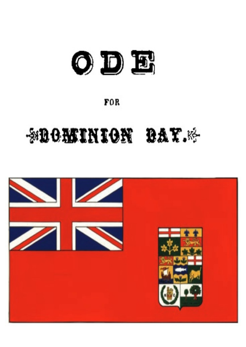

## **FOR**

# **SOOMINION BAY.**

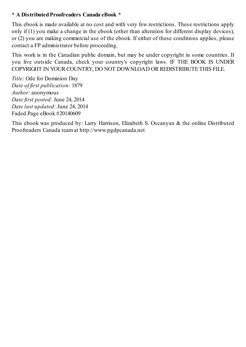### **\* A DistributedProofreaders Canada eBook \***

This ebook is made available at no cost and with very few restrictions. These restrictions apply only if (1) you make a change in the ebook (other than alteration for different display devices), or (2) you are making commercial use of the ebook. If either of these conditions applies, please contact a FP administrator before proceeding.

This work is in the Canadian public domain, but may be under copyright in some countries. If you live outside Canada, check your country's copyright laws. IF THE BOOK IS UNDER COPYRIGHT IN YOUR COUNTRY, DO NOT DOWNLOAD OR REDISTRIBUTE THIS FILE.

*Title:* Ode for Dominion Day *Date of first publication:* 1879 *Author:* anonymous *Date first posted:* June 24, 2014 *Date last updated:* June 24, 2014 Faded Page eBook #20140609

This ebook was produced by: Larry Harrison, Elizabeth S. Oscanyan & the online Distributed Proofreaders Canada teamat http://www.pgdpcanada.net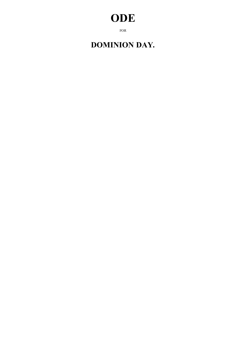# **ODE**

FOR

### **DOMINION DAY.**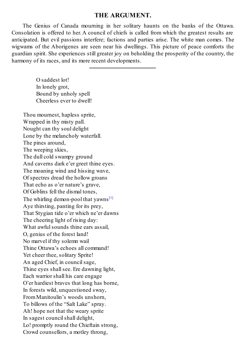#### **THE ARGUMENT.**

The Genius of Canada mourning in her solitary haunts on the banks of the Ottawa. Consolation is offered to her. A council of chiefs is called from which the greatest results are anticipated. But evil passions interfere; factions and parties arise. The white man comes. The wigwams of the Aborigenes are seen near his dwellings. This picture of peace comforts the guardian spirit. She experiences still greater joy on beholding the prosperity of the country, the harmony of its races, and its more recent developments.

O saddest lot! In lonely grot, Bound by unholy spell Cheerless ever to dwell! Thou mournest, hapless sprite, Wrapped in thy misty pall. Nought can thy soul delight Lone by the melancholy waterfall. The pines around, The weeping skies, The dull cold swampy ground And caverns dark e'er greet thine eyes. The moaning wind and hissing wave, Of spectres dread the hollow groans That echo as o'er nature's grave, Of Goblins fell the dismal tones, The whirling demon-pool that yawns<sup>[1]</sup> Aye thirsting, panting for its prey, That Stygian tide o'er which ne'er dawns The cheering light of rising day: What awful sounds thine ears assail, O, genius of the forest land! No marvel if thy solemn wail Thine Ottawa's echoes all command! Yet cheer thee, solitary Sprite! An aged Chief, in councilsage, Thine eyes shall see. Ere dawning light, Each warrior shall his care engage O'er hardiest braves that long has borne, In forests wild, unquestioned sway, FromManitoulin's woods unshorn, To billows of the "Salt Lake" spray. Ah! hope not that the weary sprite In sagest councilshall delight, Lo! promptly round the Chieftain strong,

Crowd counsellors, a motley throng,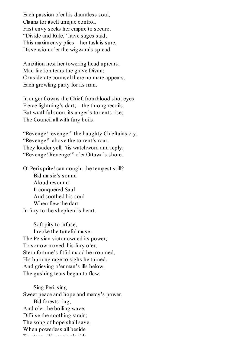Each passion o'er his dauntless soul, Claims for itself unique control, First envy seeks her empire to secure, "Divide and Rule," have sages said, This maximenvy plies—her task is sure, Dissension o'er the wigwam's spread.

Ambition next her towering head uprears. Mad faction tears the grave Divan; Considerate counsel there no more appears, Each growling party for its man.

In anger frowns the Chief, fromblood shot eyes Fierce lightning's dart;—the throng recoils; But wrathful soon, its anger's torrents rise; The Council all with fury boils.

"Revenge! revenge!" the haughty Chieftains cry; "Revenge!" above the torrent's roar, They louder yell; 'tis watchword and reply; "Revenge! Revenge!" o'er Ottawa's shore.

O! Perisprite! can nought the tempest still? Bid music's sound Aloud resound! It conquered Saul And soothed his soul When flew the dart In fury to the shepherd's heart.

Soft pity to infuse, Invoke the tuneful muse. The Persian victor owned its power; To sorrow moved, his fury o'er, Stern fortune's fitful mood he mourned, His burning rage to sighs he turned, And grieving o'er man's ills below, The gushing tears began to flow.

Sing Peri, sing Sweet peace and hope and mercy's power. Bid forests ring, And o'er the boiling wave, Diffuse the soothing strain; The song of hope shall save. When powerless all beside To stemwild passion's tide.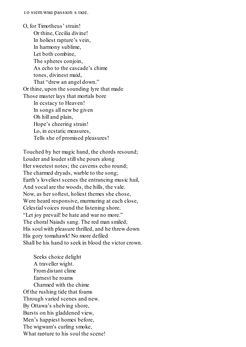O, for Timotheus' strain! Or thine, Cecilia divine! In holiest rapture's vein, In harmony sublime, Let both combine, The spheres conjoin. As echo to the cascade's chime tones, divinest maid, That "drew an angel down." Or thine, upon the sounding lyre that made Those master lays that mortals bore In ecstacy to Heaven! In songs all new be given Oh hill and plain, Hope's cheering strain! Lo, in ecstatic measures, Tells she of promised pleasures!

Touched by her magic hand, the chords resound; Louder and louder still she pours along Her sweetest notes; the caverns echo round; The charmed dryads, warble to the song; Earth's loveliest scenes the entrancing music hail, And vocal are the woods, the hills, the vale. Now, as her softest, holiest themes she chose, Were heard responsive, murmuring at each close, Celestial voices round the listening shore. "Let joy prevail! be hate and war no more." The choral Naiads sang. The red man smiled, His soul with pleasure thrilled, and he threw down His gory tomahawk! No more defiled Shall be his hand to seek in blood the victor crown.

Seeks choice delight A traveller wight. Fromdistant clime Earnest he roams Charmed with the chime Of the rushing tide that foams Through varied scenes and new. By Ottawa's shelving shore, Bursts on his gladdened view, Men's happiest homes before, The wigwam's curling smoke, What rapture to his soul the scene!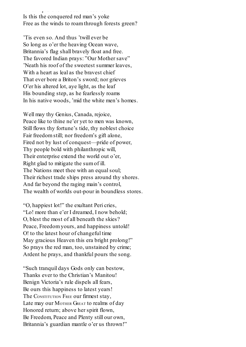When rapidly to the source the scene  $\alpha$ Is this the conquered red man's yoke Free as the winds to roamthrough forests green?

'Tis even so. And thus 'twill ever be So long as o'er the heaving Ocean wave, Britannia's flag shall bravely float and free. The favored Indian prays: "Our Mother save" 'Neath his roof of the sweetest summer leaves, With a heart as leal as the bravest chief That ever bore a Briton's sword; nor grieves O'er his altered lot, aye light, as the leaf His bounding step, as he fearlessly roams In his native woods, 'mid the white men's homes.

Well may thy Genius, Canada, rejoice, Peace like to thine ne'er yet to men was known, Still flows thy fortune's tide, thy noblest choice Fair freedomstill; nor freedom's gift alone, Fired not by lust of conquest—pride of power, Thy people bold with philanthropic will, Their enterprise extend the world out o'er, Right glad to mitigate the sumof ill. The Nations meet thee with an equal soul; Their richest trade ships press around thy shores. And far beyond the raging main's control, The wealth of worlds out-pour in boundless stores.

"O, happiest lot!" the exultant Peri cries, "Lo! more than e'er I dreamed, I now behold; O, blest the most of all beneath the skies? Peace, Freedomyours, and happiness untold! O! to the latest hour of changeful time May gracious Heaven this era bright prolong!" So prays the red man, too, unstained by crime; Ardent he prays, and thankful pours the song.

"Such tranquil days Gods only can bestow, Thanks ever to the Christian's Manitou! Benign Victoria's rule dispels all fears, Be ours this happiness to latest years! The CONSTITUTION FREE our firmest stay, Late may our MOTHER GREAT to realms of day Honored return; above her spirit flown, Be Freedom, Peace and Plenty still our own, Britannia's guardian mantle o'er us thrown!"